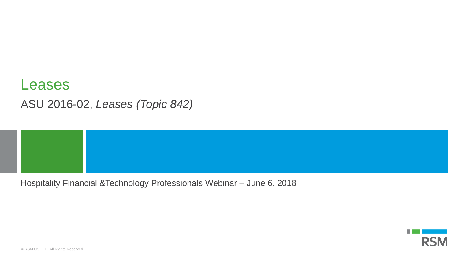## Leases ASU 2016-02, *Leases (Topic 842)*

Hospitality Financial &Technology Professionals Webinar – June 6, 2018



© RSM US LLP. All Rights Reserved.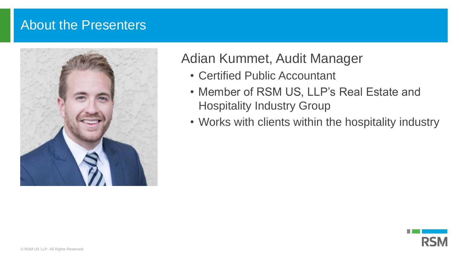## About the Presenters



## Adian Kummet, Audit Manager

- Certified Public Accountant
- Member of RSM US, LLP's Real Estate and Hospitality Industry Group
- Works with clients within the hospitality industry

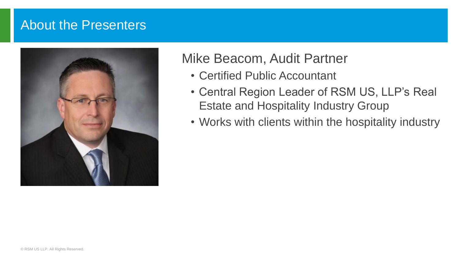## About the Presenters



## Mike Beacom, Audit Partner

- Certified Public Accountant
- Central Region Leader of RSM US, LLP's Real Estate and Hospitality Industry Group
- Works with clients within the hospitality industry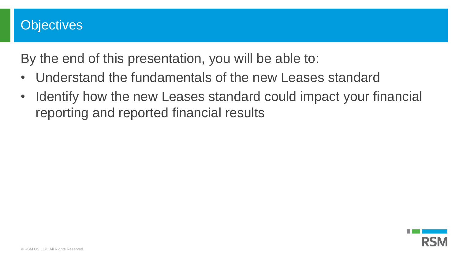## **Objectives**

By the end of this presentation, you will be able to:

- Understand the fundamentals of the new Leases standard
- Identify how the new Leases standard could impact your financial reporting and reported financial results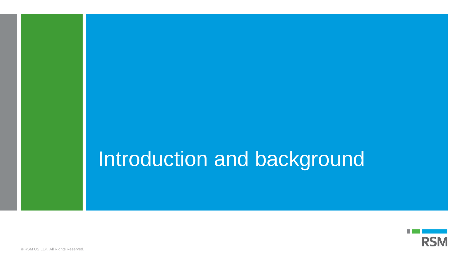## Introduction and background

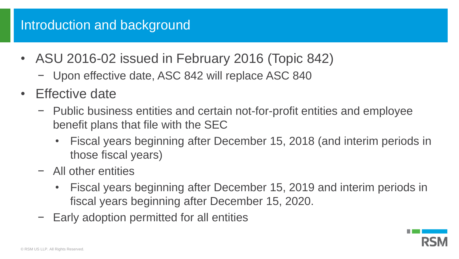## Introduction and background

- ASU 2016-02 issued in February 2016 (Topic 842)
	- − Upon effective date, ASC 842 will replace ASC 840
- Effective date
	- − Public business entities and certain not-for-profit entities and employee benefit plans that file with the SEC
		- Fiscal years beginning after December 15, 2018 (and interim periods in those fiscal years)
	- − All other entities
		- Fiscal years beginning after December 15, 2019 and interim periods in fiscal years beginning after December 15, 2020.
	- − Early adoption permitted for all entities

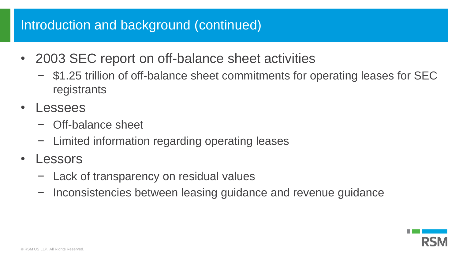## Introduction and background (continued)

- 2003 SEC report on off-balance sheet activities
	- − \$1.25 trillion of off-balance sheet commitments for operating leases for SEC registrants
- Lessees
	- − Off-balance sheet
	- − Limited information regarding operating leases
- **Lessors** 
	- − Lack of transparency on residual values
	- − Inconsistencies between leasing guidance and revenue guidance

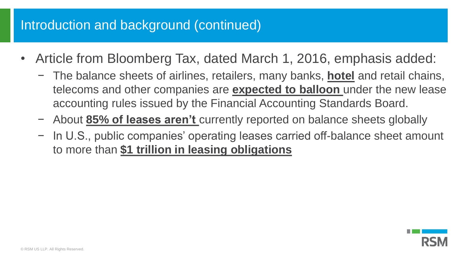## Introduction and background (continued)

- Article from Bloomberg Tax, dated March 1, 2016, emphasis added:
	- − The balance sheets of airlines, retailers, many banks, **hotel** and retail chains, telecoms and other companies are **expected to balloon** under the new lease accounting rules issued by the Financial Accounting Standards Board.
	- − About **85% of leases aren't** currently reported on balance sheets globally
	- − In U.S., public companies' operating leases carried off-balance sheet amount to more than **\$1 trillion in leasing obligations**

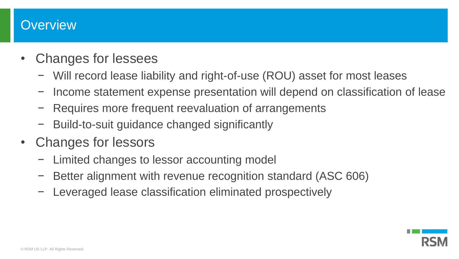### **Overview**

- Changes for lessees
	- − Will record lease liability and right-of-use (ROU) asset for most leases
	- − Income statement expense presentation will depend on classification of lease
	- − Requires more frequent reevaluation of arrangements
	- − Build-to-suit guidance changed significantly
- Changes for lessors
	- − Limited changes to lessor accounting model
	- − Better alignment with revenue recognition standard (ASC 606)
	- − Leveraged lease classification eliminated prospectively

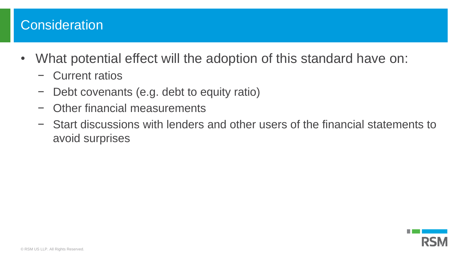## **Consideration**

- What potential effect will the adoption of this standard have on:
	- − Current ratios
	- − Debt covenants (e.g. debt to equity ratio)
	- − Other financial measurements
	- − Start discussions with lenders and other users of the financial statements to avoid surprises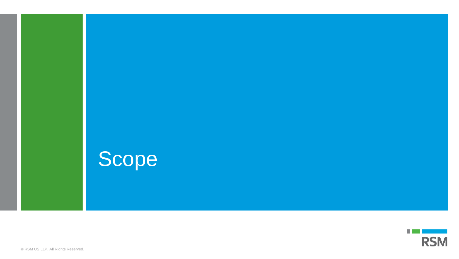



© RSM US LLP. All Rights Reserved.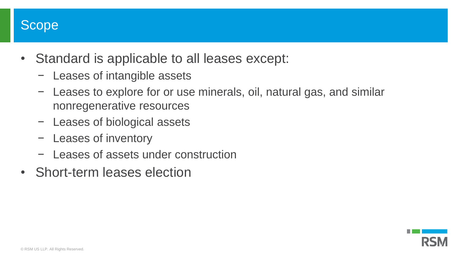

- Standard is applicable to all leases except:
	- − Leases of intangible assets
	- − Leases to explore for or use minerals, oil, natural gas, and similar nonregenerative resources
	- − Leases of biological assets
	- − Leases of inventory
	- − Leases of assets under construction
- Short-term leases election

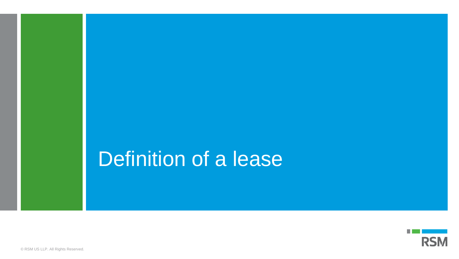## Definition of a lease

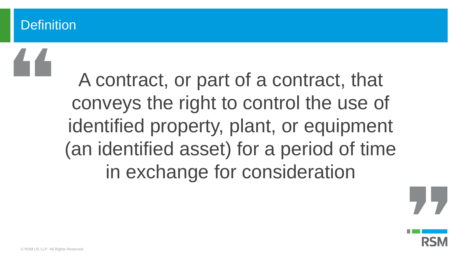## **Definition**

A contract, or part of a contract, that conveys the right to control the use of identified property, plant, or equipment (an identified asset) for a period of time in exchange for consideration

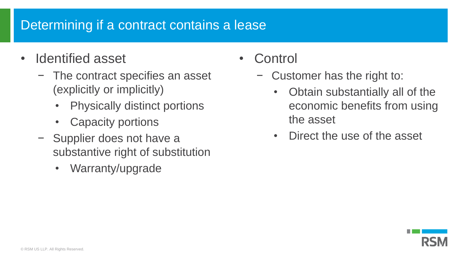## Determining if a contract contains a lease

- Identified asset
	- − The contract specifies an asset (explicitly or implicitly)
		- Physically distinct portions
		- **Capacity portions**
	- − Supplier does not have a substantive right of substitution
		- Warranty/upgrade
- Control
	- Customer has the right to:
		- Obtain substantially all of the economic benefits from using the asset
		- Direct the use of the asset

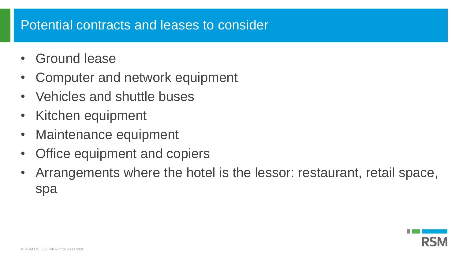## Potential contracts and leases to consider

- Ground lease
- Computer and network equipment
- Vehicles and shuttle buses
- Kitchen equipment
- Maintenance equipment
- Office equipment and copiers
- Arrangements where the hotel is the lessor: restaurant, retail space, spa

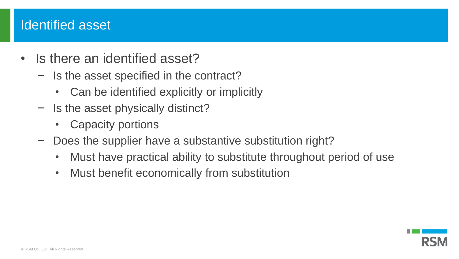## Identified asset

- Is there an identified asset?
	- − Is the asset specified in the contract?
		- Can be identified explicitly or implicitly
	- − Is the asset physically distinct?
		- Capacity portions
	- − Does the supplier have a substantive substitution right?
		- Must have practical ability to substitute throughout period of use
		- Must benefit economically from substitution

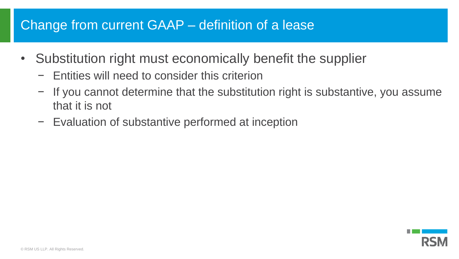## Change from current GAAP – definition of a lease

- Substitution right must economically benefit the supplier
	- − Entities will need to consider this criterion
	- − If you cannot determine that the substitution right is substantive, you assume that it is not
	- − Evaluation of substantive performed at inception

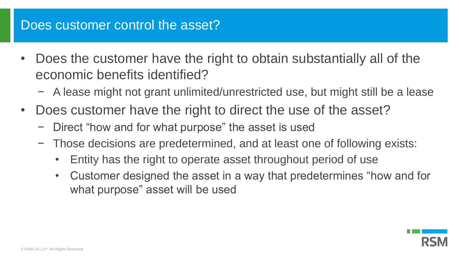## Does customer control the asset?

- Does the customer have the right to obtain substantially all of the economic benefits identified?
	- − A lease might not grant unlimited/unrestricted use, but might still be a lease
- Does customer have the right to direct the use of the asset?
	- − Direct "how and for what purpose" the asset is used
	- − Those decisions are predetermined, and at least one of following exists:
		- Entity has the right to operate asset throughout period of use
		- Customer designed the asset in a way that predetermines "how and for what purpose" asset will be used

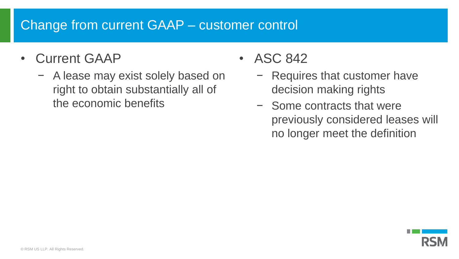## Change from current GAAP – customer control

- Current GAAP
	- − A lease may exist solely based on right to obtain substantially all of the economic benefits
- ASC 842
	- − Requires that customer have decision making rights
	- − Some contracts that were previously considered leases will no longer meet the definition

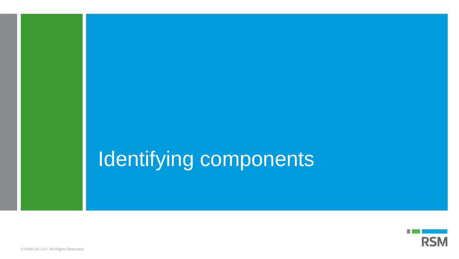# Identifying components



© RSM US LLP. All Rights Reserved.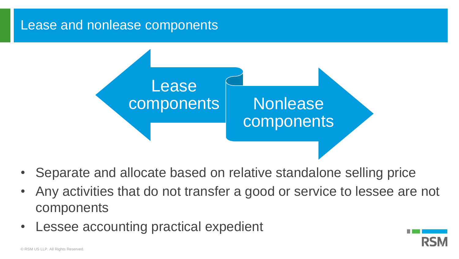#### Lease and nonlease components



- Separate and allocate based on relative standalone selling price
- Any activities that do not transfer a good or service to lessee are not components
- Lessee accounting practical expedient

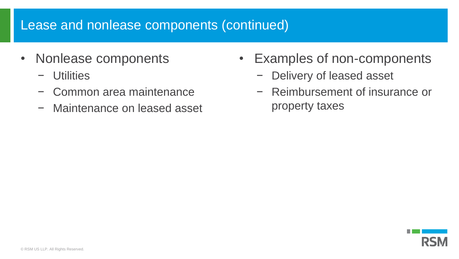## Lease and nonlease components (continued)

- Nonlease components
	- − Utilities
	- − Common area maintenance
	- − Maintenance on leased asset
- Examples of non-components
	- − Delivery of leased asset
	- − Reimbursement of insurance or property taxes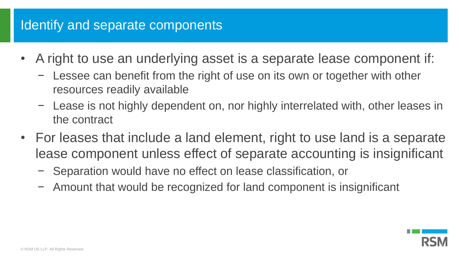## Identify and separate components

- A right to use an underlying asset is a separate lease component if:
	- − Lessee can benefit from the right of use on its own or together with other resources readily available
	- − Lease is not highly dependent on, nor highly interrelated with, other leases in the contract
- For leases that include a land element, right to use land is a separate lease component unless effect of separate accounting is insignificant
	- − Separation would have no effect on lease classification, or
	- − Amount that would be recognized for land component is insignificant

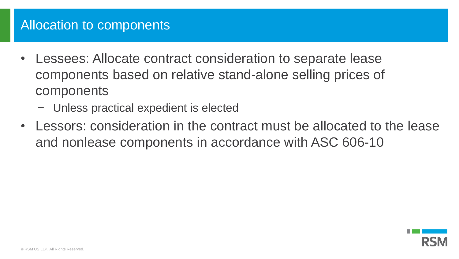## Allocation to components

- Lessees: Allocate contract consideration to separate lease components based on relative stand-alone selling prices of components
	- − Unless practical expedient is elected
- Lessors: consideration in the contract must be allocated to the lease and nonlease components in accordance with ASC 606-10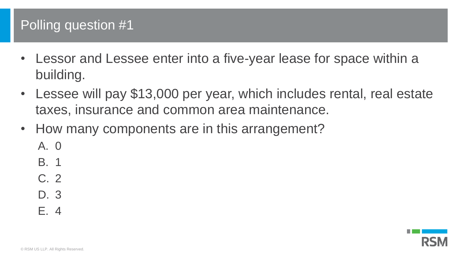## Polling question #1

- Lessor and Lessee enter into a five-year lease for space within a building.
- Lessee will pay \$13,000 per year, which includes rental, real estate taxes, insurance and common area maintenance.
- How many components are in this arrangement?
	- A. 0
	- B. 1
	- C. 2
	- D. 3
	- E. 4

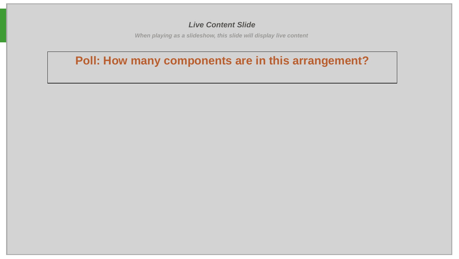#### *Live Content Slide*

*When playing as a slideshow, this slide will display live content*

#### **Poll: How many components are in this arrangement?**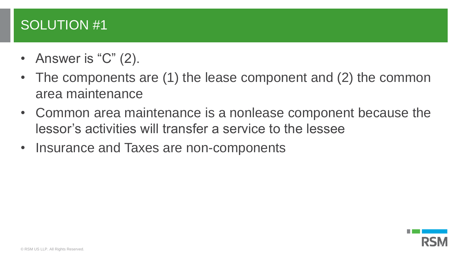## SOLUTION #1

- Answer is "C" (2).
- The components are (1) the lease component and (2) the common area maintenance
- Common area maintenance is a nonlease component because the lessor's activities will transfer a service to the lessee
- Insurance and Taxes are non-components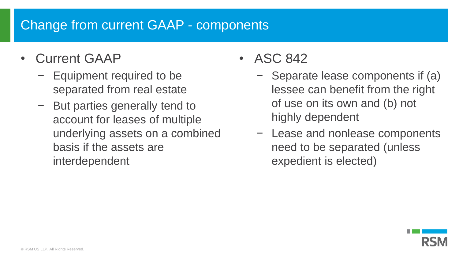## Change from current GAAP - components

- Current GAAP
	- − Equipment required to be separated from real estate
	- − But parties generally tend to account for leases of multiple underlying assets on a combined basis if the assets are interdependent
- ASC 842
	- − Separate lease components if (a) lessee can benefit from the right of use on its own and (b) not highly dependent
	- − Lease and nonlease components need to be separated (unless expedient is elected)

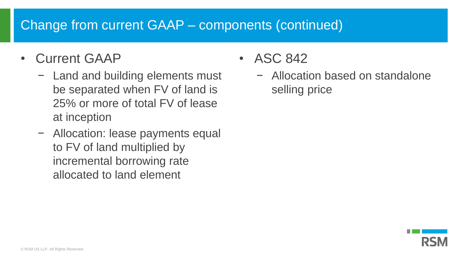## Change from current GAAP – components (continued)

- Current GAAP
	- − Land and building elements must be separated when FV of land is 25% or more of total FV of lease at inception
	- − Allocation: lease payments equal to FV of land multiplied by incremental borrowing rate allocated to land element

• ASC 842

− Allocation based on standalone selling price

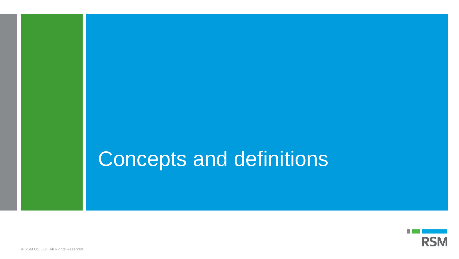## Concepts and definitions

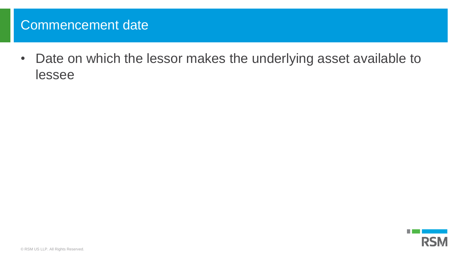## Commencement date

• Date on which the lessor makes the underlying asset available to lessee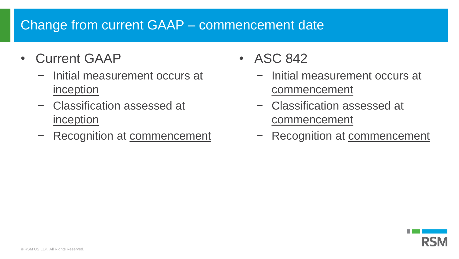## Change from current GAAP – commencement date

- Current GAAP
	- − Initial measurement occurs at inception
	- − Classification assessed at inception
	- − Recognition at commencement
- ASC 842
	- − Initial measurement occurs at commencement
	- − Classification assessed at commencement
	- Recognition at commencement

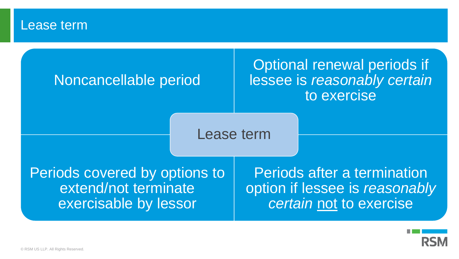#### Lease term

## Noncancellable period

## Optional renewal periods if lessee is *reasonably certain* to exercise

Lease term

Periods covered by options to extend/not terminate exercisable by lessor

Periods after a termination option if lessee is *reasonably certain* not to exercise

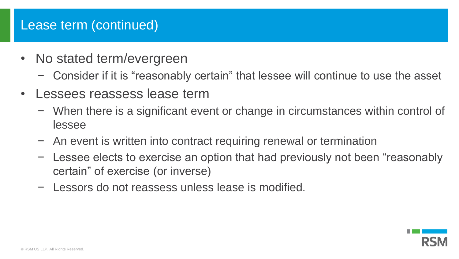## Lease term (continued)

- No stated term/evergreen
	- − Consider if it is "reasonably certain" that lessee will continue to use the asset
- Lessees reassess lease term
	- − When there is a significant event or change in circumstances within control of lessee
	- − An event is written into contract requiring renewal or termination
	- − Lessee elects to exercise an option that had previously not been "reasonably certain" of exercise (or inverse)
	- − Lessors do not reassess unless lease is modified.

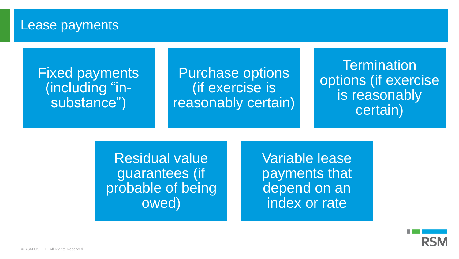#### Lease payments

## Fixed payments (including "insubstance")

Purchase options (if exercise is reasonably certain)

**Termination** options (if exercise is reasonably certain)

Residual value guarantees (if probable of being owed)

Variable lease payments that depend on an index or rate

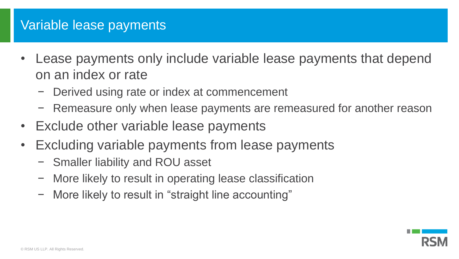## Variable lease payments

- Lease payments only include variable lease payments that depend on an index or rate
	- − Derived using rate or index at commencement
	- − Remeasure only when lease payments are remeasured for another reason
- Exclude other variable lease payments
- Excluding variable payments from lease payments
	- − Smaller liability and ROU asset
	- − More likely to result in operating lease classification
	- − More likely to result in "straight line accounting"

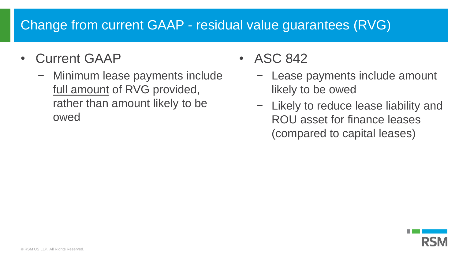# Change from current GAAP - residual value guarantees (RVG)

- Current GAAP
	- − Minimum lease payments include full amount of RVG provided, rather than amount likely to be owed

• ASC 842

- − Lease payments include amount likely to be owed
- − Likely to reduce lease liability and ROU asset for finance leases (compared to capital leases)

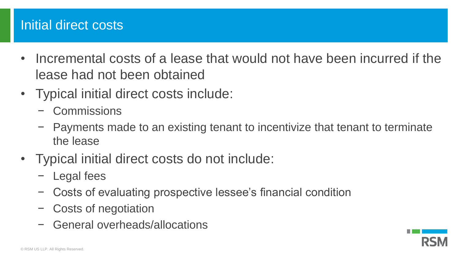## Initial direct costs

- Incremental costs of a lease that would not have been incurred if the lease had not been obtained
- Typical initial direct costs include:
	- − Commissions
	- − Payments made to an existing tenant to incentivize that tenant to terminate the lease
- Typical initial direct costs do not include:
	- − Legal fees
	- − Costs of evaluating prospective lessee's financial condition
	- − Costs of negotiation
	- − General overheads/allocations

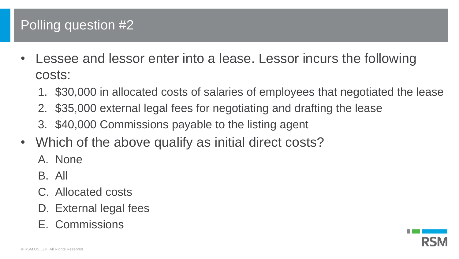# Polling question #2

- Lessee and lessor enter into a lease. Lessor incurs the following costs:
	- 1. \$30,000 in allocated costs of salaries of employees that negotiated the lease
	- 2. \$35,000 external legal fees for negotiating and drafting the lease
	- 3. \$40,000 Commissions payable to the listing agent
- Which of the above qualify as initial direct costs?
	- A. None
	- B. All
	- C. Allocated costs
	- D. External legal fees
	- E. Commissions

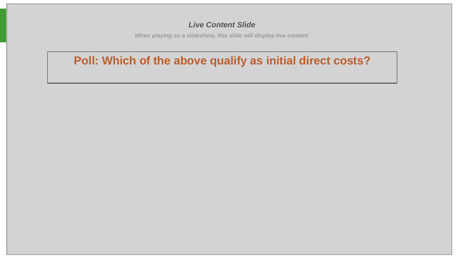#### *Live Content Slide*

*When playing as a slideshow, this slide will display live content*

### **Poll: Which of the above qualify as initial direct costs?**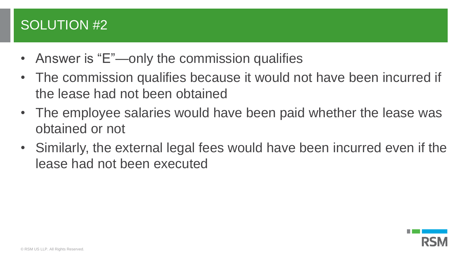# SOLUTION #2

- Answer is "E"—only the commission qualifies
- The commission qualifies because it would not have been incurred if the lease had not been obtained
- The employee salaries would have been paid whether the lease was obtained or not
- Similarly, the external legal fees would have been incurred even if the lease had not been executed

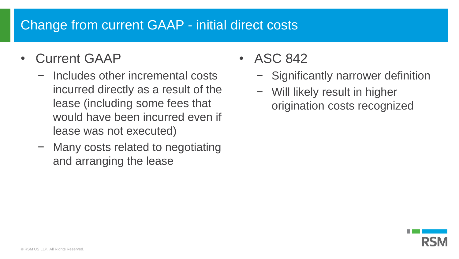# Change from current GAAP - initial direct costs

- Current GAAP
	- − Includes other incremental costs incurred directly as a result of the lease (including some fees that would have been incurred even if lease was not executed)
	- − Many costs related to negotiating and arranging the lease
- ASC 842
	- − Significantly narrower definition
	- − Will likely result in higher origination costs recognized

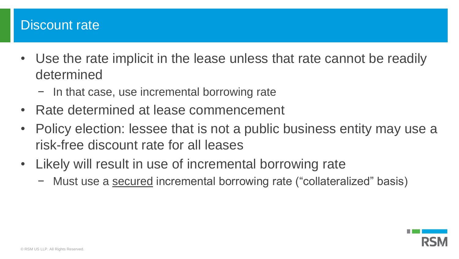## Discount rate

- Use the rate implicit in the lease unless that rate cannot be readily determined
	- − In that case, use incremental borrowing rate
- Rate determined at lease commencement
- Policy election: lessee that is not a public business entity may use a risk-free discount rate for all leases
- Likely will result in use of incremental borrowing rate
	- − Must use a secured incremental borrowing rate ("collateralized" basis)

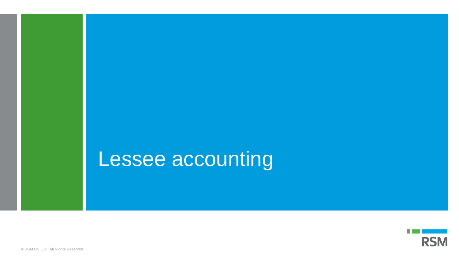# Lessee accounting

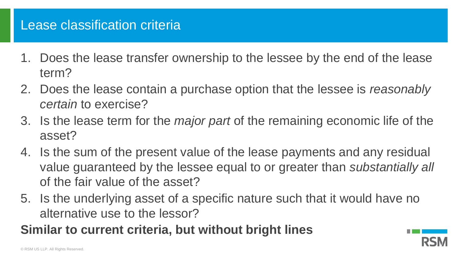## Lease classification criteria

- 1. Does the lease transfer ownership to the lessee by the end of the lease term?
- 2. Does the lease contain a purchase option that the lessee is *reasonably certain* to exercise?
- 3. Is the lease term for the *major part* of the remaining economic life of the asset?
- 4. Is the sum of the present value of the lease payments and any residual value guaranteed by the lessee equal to or greater than *substantially all*  of the fair value of the asset?
- 5. Is the underlying asset of a specific nature such that it would have no alternative use to the lessor?
- **Similar to current criteria, but without bright lines**

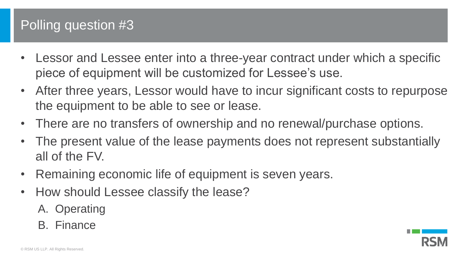# Polling question #3

- Lessor and Lessee enter into a three-year contract under which a specific piece of equipment will be customized for Lessee's use.
- After three years, Lessor would have to incur significant costs to repurpose the equipment to be able to see or lease.
- There are no transfers of ownership and no renewal/purchase options.
- The present value of the lease payments does not represent substantially all of the FV.
- Remaining economic life of equipment is seven years.
- How should Lessee classify the lease?
	- A. Operating
	- B. Finance

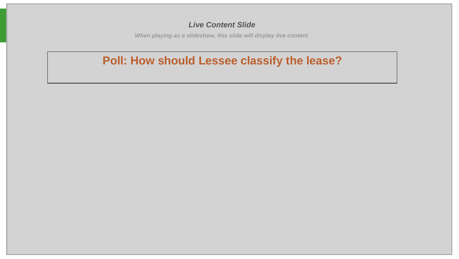#### *Live Content Slide*

*When playing as a slideshow, this slide will display live content*

### **Poll: How should Lessee classify the lease?**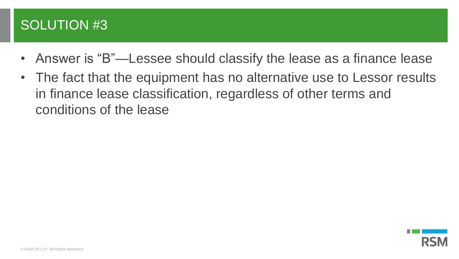# SOLUTION #3

- Answer is "B"—Lessee should classify the lease as a finance lease
- The fact that the equipment has no alternative use to Lessor results in finance lease classification, regardless of other terms and conditions of the lease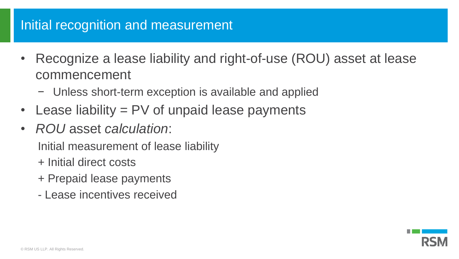# Initial recognition and measurement

- Recognize a lease liability and right-of-use (ROU) asset at lease commencement
	- − Unless short-term exception is available and applied
- Lease liability = PV of unpaid lease payments
- *ROU* asset *calculation*:

Initial measurement of lease liability

- + Initial direct costs
- + Prepaid lease payments
- Lease incentives received

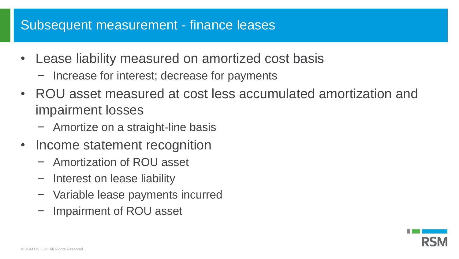## Subsequent measurement - finance leases

- Lease liability measured on amortized cost basis
	- − Increase for interest; decrease for payments
- ROU asset measured at cost less accumulated amortization and impairment losses
	- − Amortize on a straight-line basis
- Income statement recognition
	- − Amortization of ROU asset
	- − Interest on lease liability
	- − Variable lease payments incurred
	- − Impairment of ROU asset

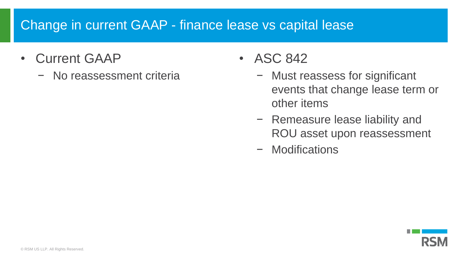# Change in current GAAP - finance lease vs capital lease

- Current GAAP
	- − No reassessment criteria
- ASC 842
	- − Must reassess for significant events that change lease term or other items
	- − Remeasure lease liability and ROU asset upon reassessment
	- − Modifications

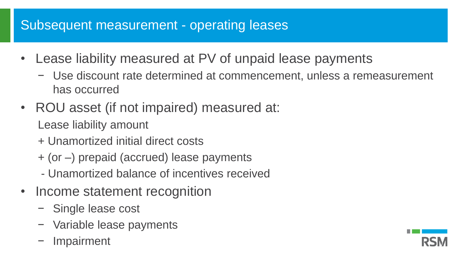# Subsequent measurement - operating leases

- Lease liability measured at PV of unpaid lease payments
	- − Use discount rate determined at commencement, unless a remeasurement has occurred
- ROU asset (if not impaired) measured at: Lease liability amount
	- + Unamortized initial direct costs
	- + (or –) prepaid (accrued) lease payments
	- Unamortized balance of incentives received
- Income statement recognition
	- − Single lease cost
	- − Variable lease payments
	- − Impairment

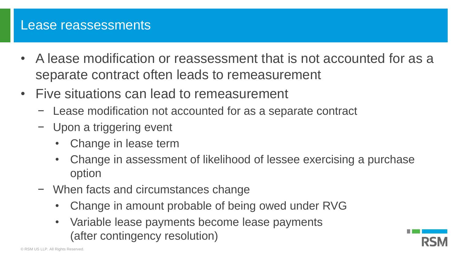### Lease reassessments

- A lease modification or reassessment that is not accounted for as a separate contract often leads to remeasurement
- Five situations can lead to remeasurement
	- − Lease modification not accounted for as a separate contract
	- − Upon a triggering event
		- Change in lease term
		- Change in assessment of likelihood of lessee exercising a purchase option
	- − When facts and circumstances change
		- Change in amount probable of being owed under RVG
		- Variable lease payments become lease payments (after contingency resolution)

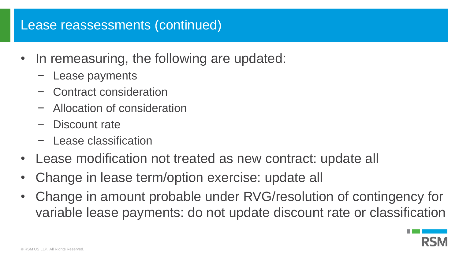### Lease reassessments (continued)

- In remeasuring, the following are updated:
	- Lease payments
	- − Contract consideration
	- − Allocation of consideration
	- − Discount rate
	- − Lease classification
- Lease modification not treated as new contract: update all
- Change in lease term/option exercise: update all
- Change in amount probable under RVG/resolution of contingency for variable lease payments: do not update discount rate or classification

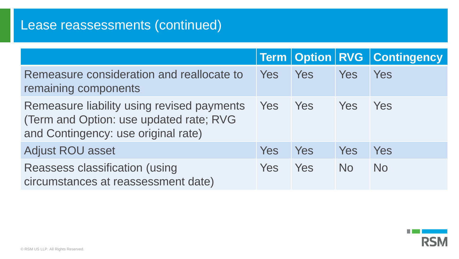# Lease reassessments (continued)

|                                                                                                                                      |            |     |                    | <b>Term   Option   RVG   Contingency</b> |
|--------------------------------------------------------------------------------------------------------------------------------------|------------|-----|--------------------|------------------------------------------|
| Remeasure consideration and reallocate to<br>remaining components                                                                    | Yes        | Yes | Yes                | Yes                                      |
| Remeasure liability using revised payments Yes Yes<br>(Term and Option: use updated rate; RVG<br>and Contingency: use original rate) |            |     | <b>Paraget Yes</b> | Yes                                      |
| <b>Adjust ROU asset</b>                                                                                                              | <b>Yes</b> | Yes | Yes                | Yes                                      |
| <b>Reassess classification (using</b><br>circumstances at reassessment date)                                                         | Yes        | Yes | <b>No</b>          | <b>No</b>                                |

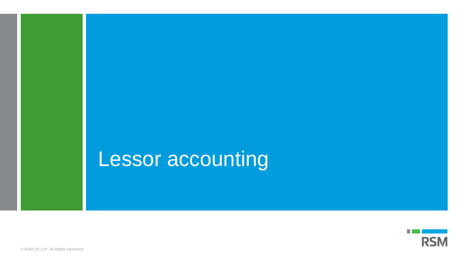# Lessor accounting

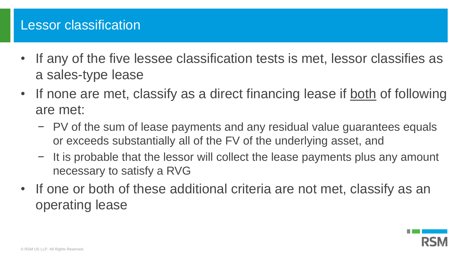## Lessor classification

- If any of the five lessee classification tests is met, lessor classifies as a sales-type lease
- If none are met, classify as a direct financing lease if both of following are met:
	- − PV of the sum of lease payments and any residual value guarantees equals or exceeds substantially all of the FV of the underlying asset, and
	- − It is probable that the lessor will collect the lease payments plus any amount necessary to satisfy a RVG
- If one or both of these additional criteria are not met, classify as an operating lease

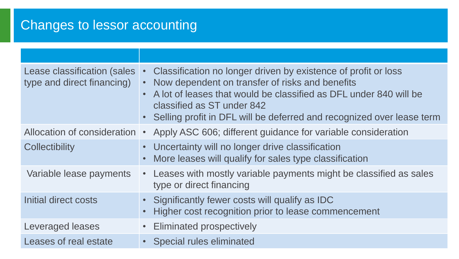# Changes to lessor accounting

| Lease classification (sales<br>type and direct financing) | Classification no longer driven by existence of profit or loss<br>$\bullet$<br>Now dependent on transfer of risks and benefits<br>A lot of leases that would be classified as DFL under 840 will be<br>classified as ST under 842<br>• Selling profit in DFL will be deferred and recognized over lease term |
|-----------------------------------------------------------|--------------------------------------------------------------------------------------------------------------------------------------------------------------------------------------------------------------------------------------------------------------------------------------------------------------|
| Allocation of consideration •                             | Apply ASC 606; different guidance for variable consideration                                                                                                                                                                                                                                                 |
| <b>Collectibility</b>                                     | • Uncertainty will no longer drive classification<br>More leases will qualify for sales type classification                                                                                                                                                                                                  |
| Variable lease payments                                   | • Leases with mostly variable payments might be classified as sales<br>type or direct financing                                                                                                                                                                                                              |
| Initial direct costs                                      | • Significantly fewer costs will qualify as IDC<br>Higher cost recognition prior to lease commencement                                                                                                                                                                                                       |
| Leveraged leases                                          | <b>Eliminated prospectively</b>                                                                                                                                                                                                                                                                              |
| Leases of real estate                                     | <b>Special rules eliminated</b>                                                                                                                                                                                                                                                                              |
|                                                           |                                                                                                                                                                                                                                                                                                              |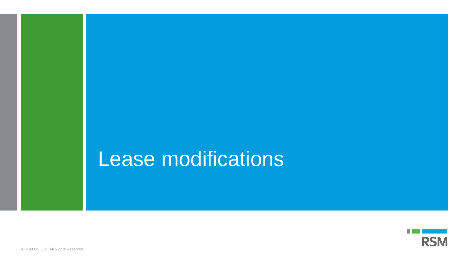# Lease modifications

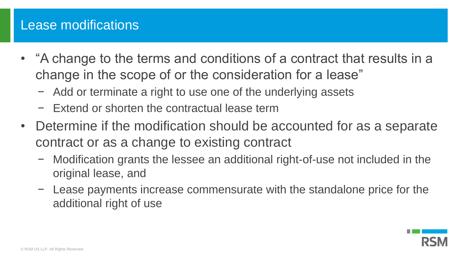## Lease modifications

- "A change to the terms and conditions of a contract that results in a change in the scope of or the consideration for a lease"
	- − Add or terminate a right to use one of the underlying assets
	- − Extend or shorten the contractual lease term
- Determine if the modification should be accounted for as a separate contract or as a change to existing contract
	- − Modification grants the lessee an additional right-of-use not included in the original lease, and
	- − Lease payments increase commensurate with the standalone price for the additional right of use

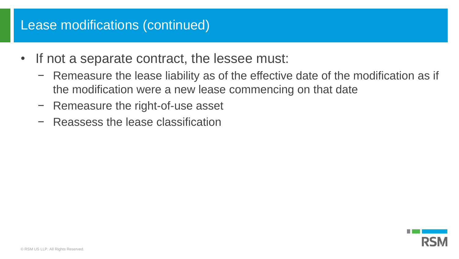## Lease modifications (continued)

- If not a separate contract, the lessee must:
	- − Remeasure the lease liability as of the effective date of the modification as if the modification were a new lease commencing on that date
	- − Remeasure the right-of-use asset
	- − Reassess the lease classification

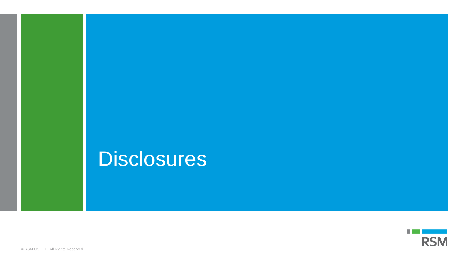# **Disclosures**



© RSM US LLP. All Rights Reserved.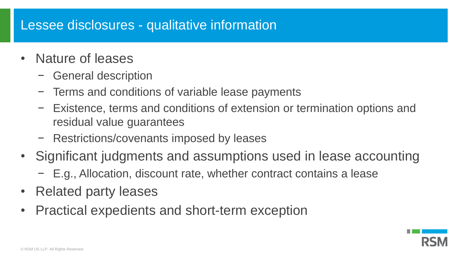## Lessee disclosures - qualitative information

- Nature of leases
	- − General description
	- − Terms and conditions of variable lease payments
	- − Existence, terms and conditions of extension or termination options and residual value guarantees
	- − Restrictions/covenants imposed by leases
- Significant judgments and assumptions used in lease accounting
	- − E.g., Allocation, discount rate, whether contract contains a lease
- Related party leases
- Practical expedients and short-term exception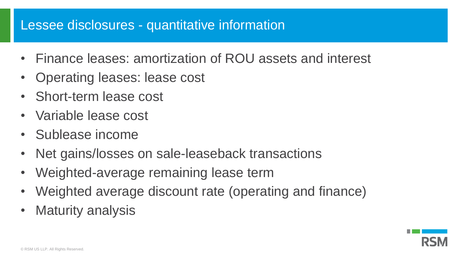## Lessee disclosures - quantitative information

- Finance leases: amortization of ROU assets and interest
- Operating leases: lease cost
- Short-term lease cost
- Variable lease cost
- Sublease income
- Net gains/losses on sale-leaseback transactions
- Weighted-average remaining lease term
- Weighted average discount rate (operating and finance)
- Maturity analysis

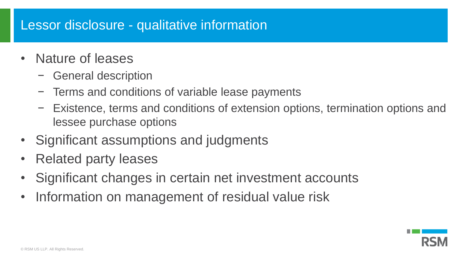## Lessor disclosure - qualitative information

- Nature of leases
	- − General description
	- − Terms and conditions of variable lease payments
	- − Existence, terms and conditions of extension options, termination options and lessee purchase options
- Significant assumptions and judgments
- Related party leases
- Significant changes in certain net investment accounts
- Information on management of residual value risk

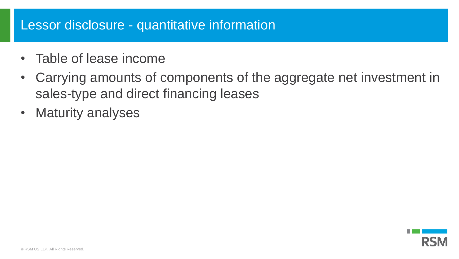## Lessor disclosure - quantitative information

- Table of lease income
- Carrying amounts of components of the aggregate net investment in sales-type and direct financing leases
- Maturity analyses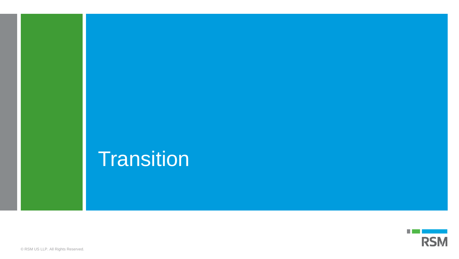# **Transition**

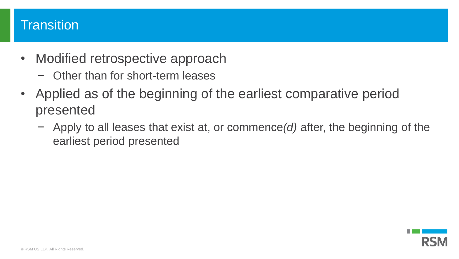## **Transition**

- Modified retrospective approach
	- − Other than for short-term leases
- Applied as of the beginning of the earliest comparative period presented
	- − Apply to all leases that exist at, or commence*(d)* after, the beginning of the earliest period presented

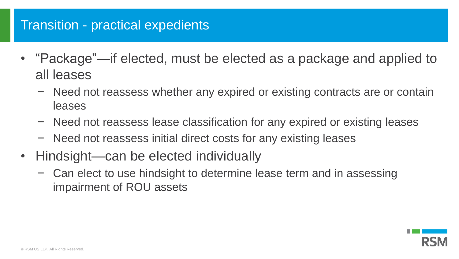## Transition - practical expedients

- "Package"—if elected, must be elected as a package and applied to all leases
	- − Need not reassess whether any expired or existing contracts are or contain leases
	- − Need not reassess lease classification for any expired or existing leases
	- − Need not reassess initial direct costs for any existing leases
- Hindsight—can be elected individually
	- − Can elect to use hindsight to determine lease term and in assessing impairment of ROU assets

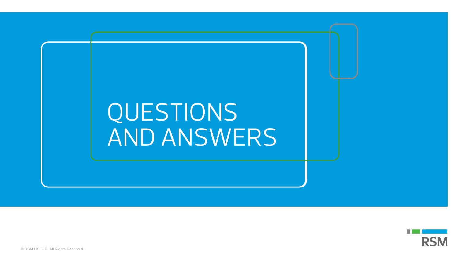



© RSM US LLP. All Rights Reserved.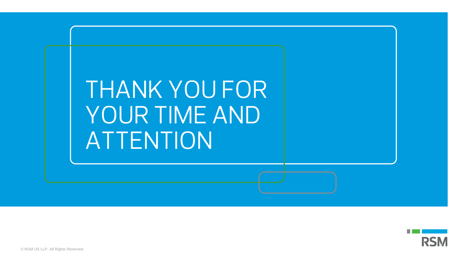



© RSM US LLP. All Rights Reserved.